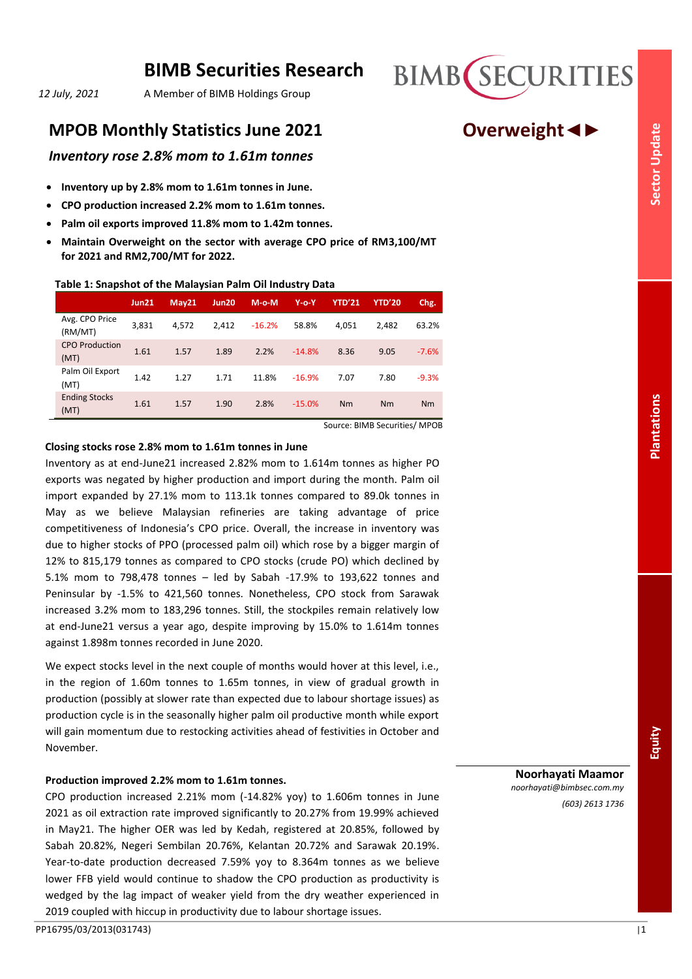# **BIMB Securities Research**

*12 July, 2021* A Member of BIMB Holdings Group

# **MPOB Monthly Statistics June 2021 <b>Overweight**

# *Inventory rose 2.8% mom to 1.61m tonnes*

- **Inventory up by 2.8% mom to 1.61m tonnes in June.**
- **CPO production increased 2.2% mom to 1.61m tonnes.**
- **Palm oil exports improved 11.8% mom to 1.42m tonnes.**
- **Maintain Overweight on the sector with average CPO price of RM3,100/MT for 2021 and RM2,700/MT for 2022.**

# **Table 1: Snapshot of the Malaysian Palm Oil Industry Data**

|                               | <b>Jun21</b> | May21 | Jun20 | $M-O-M$  | $Y$ -0- $Y$ | <b>YTD'21</b> | <b>YTD'20</b> | Chg.    |
|-------------------------------|--------------|-------|-------|----------|-------------|---------------|---------------|---------|
| Avg. CPO Price<br>(RM/MT)     | 3,831        | 4.572 | 2.412 | $-16.2%$ | 58.8%       | 4.051         | 2.482         | 63.2%   |
| <b>CPO Production</b><br>(MT) | 1.61         | 1.57  | 1.89  | 2.2%     | $-14.8%$    | 8.36          | 9.05          | $-7.6%$ |
| Palm Oil Export<br>(MT)       | 1.42         | 1.27  | 1.71  | 11.8%    | $-16.9%$    | 7.07          | 7.80          | $-9.3%$ |
| <b>Ending Stocks</b><br>(MT)  | 1.61         | 1.57  | 1.90  | 2.8%     | $-15.0%$    | Nm            | Nm            | Nm      |

Source: BIMB Securities/ MPOB

# **Closing stocks rose 2.8% mom to 1.61m tonnes in June**

Inventory as at end-June21 increased 2.82% mom to 1.614m tonnes as higher PO exports was negated by higher production and import during the month. Palm oil import expanded by 27.1% mom to 113.1k tonnes compared to 89.0k tonnes in May as we believe Malaysian refineries are taking advantage of price competitiveness of Indonesia's CPO price. Overall, the increase in inventory was due to higher stocks of PPO (processed palm oil) which rose by a bigger margin of 12% to 815,179 tonnes as compared to CPO stocks (crude PO) which declined by 5.1% mom to 798,478 tonnes – led by Sabah -17.9% to 193,622 tonnes and Peninsular by -1.5% to 421,560 tonnes. Nonetheless, CPO stock from Sarawak increased 3.2% mom to 183,296 tonnes. Still, the stockpiles remain relatively low at end-June21 versus a year ago, despite improving by 15.0% to 1.614m tonnes against 1.898m tonnes recorded in June 2020.

We expect stocks level in the next couple of months would hover at this level, i.e., in the region of 1.60m tonnes to 1.65m tonnes, in view of gradual growth in production (possibly at slower rate than expected due to labour shortage issues) as production cycle is in the seasonally higher palm oil productive month while export will gain momentum due to restocking activities ahead of festivities in October and **November** 

# **Production improved 2.2% mom to 1.61m tonnes.**

CPO production increased 2.21% mom (-14.82% yoy) to 1.606m tonnes in June 2021 as oil extraction rate improved significantly to 20.27% from 19.99% achieved in May21. The higher OER was led by Kedah, registered at 20.85%, followed by Sabah 20.82%, Negeri Sembilan 20.76%, Kelantan 20.72% and Sarawak 20.19%. Year-to-date production decreased 7.59% yoy to 8.364m tonnes as we believe lower FFB yield would continue to shadow the CPO production as productivity is wedged by the lag impact of weaker yield from the dry weather experienced in 2019 coupled with hiccup in productivity due to labour shortage issues.

**Sector Update**

**Plantations**

*(603) 2613 1736*

**Noorhayati Maamor** *noorhayati@bimbsec.com.my*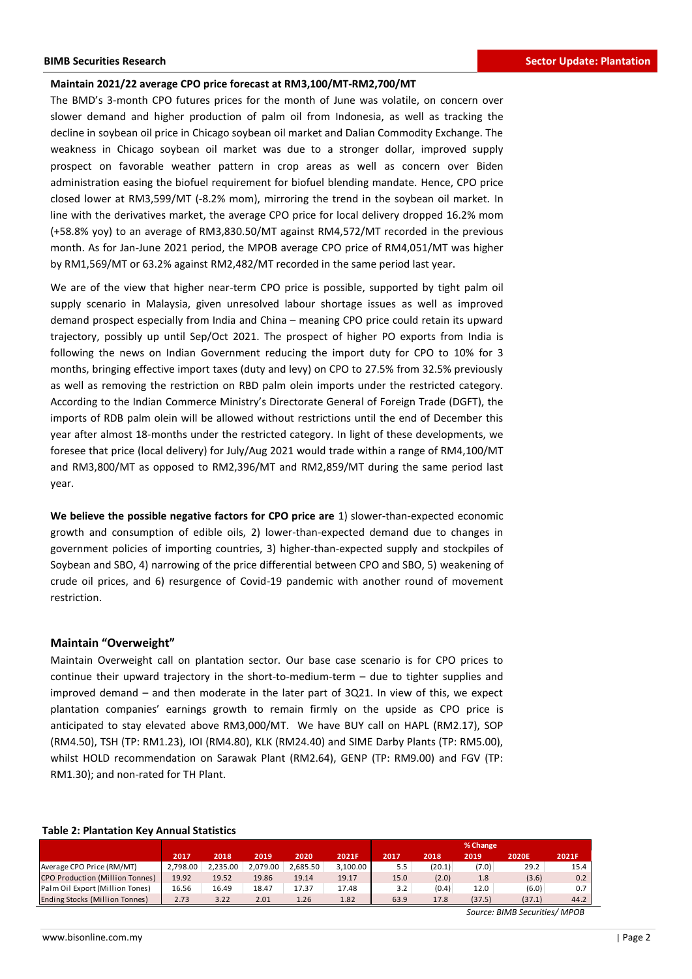#### **Maintain 2021/22 average CPO price forecast at RM3,100/MT-RM2,700/MT**

The BMD's 3-month CPO futures prices for the month of June was volatile, on concern over slower demand and higher production of palm oil from Indonesia, as well as tracking the decline in soybean oil price in Chicago soybean oil market and Dalian Commodity Exchange. The weakness in Chicago soybean oil market was due to a stronger dollar, improved supply prospect on favorable weather pattern in crop areas as well as concern over Biden administration easing the biofuel requirement for biofuel blending mandate. Hence, CPO price closed lower at RM3,599/MT (-8.2% mom), mirroring the trend in the soybean oil market. In line with the derivatives market, the average CPO price for local delivery dropped 16.2% mom (+58.8% yoy) to an average of RM3,830.50/MT against RM4,572/MT recorded in the previous month. As for Jan-June 2021 period, the MPOB average CPO price of RM4,051/MT was higher by RM1,569/MT or 63.2% against RM2,482/MT recorded in the same period last year.

We are of the view that higher near-term CPO price is possible, supported by tight palm oil supply scenario in Malaysia, given unresolved labour shortage issues as well as improved demand prospect especially from India and China – meaning CPO price could retain its upward trajectory, possibly up until Sep/Oct 2021. The prospect of higher PO exports from India is following the news on Indian Government reducing the import duty for CPO to 10% for 3 months, bringing effective import taxes (duty and levy) on CPO to 27.5% from 32.5% previously as well as removing the restriction on RBD palm olein imports under the restricted category. According to the Indian Commerce Ministry's Directorate General of Foreign Trade (DGFT), the imports of RDB palm olein will be allowed without restrictions until the end of December this year after almost 18-months under the restricted category. In light of these developments, we foresee that price (local delivery) for July/Aug 2021 would trade within a range of RM4,100/MT and RM3,800/MT as opposed to RM2,396/MT and RM2,859/MT during the same period last year.

**We believe the possible negative factors for CPO price are** 1) slower-than-expected economic growth and consumption of edible oils, 2) lower-than-expected demand due to changes in government policies of importing countries, 3) higher-than-expected supply and stockpiles of Soybean and SBO, 4) narrowing of the price differential between CPO and SBO, 5) weakening of crude oil prices, and 6) resurgence of Covid-19 pandemic with another round of movement restriction.

### **Maintain "Overweight"**

Maintain Overweight call on plantation sector. Our base case scenario is for CPO prices to continue their upward trajectory in the short-to-medium-term – due to tighter supplies and improved demand – and then moderate in the later part of 3Q21. In view of this, we expect plantation companies' earnings growth to remain firmly on the upside as CPO price is anticipated to stay elevated above RM3,000/MT. We have BUY call on HAPL (RM2.17), SOP (RM4.50), TSH (TP: RM1.23), IOI (RM4.80), KLK (RM24.40) and SIME Darby Plants (TP: RM5.00), whilst HOLD recommendation on Sarawak Plant (RM2.64), GENP (TP: RM9.00) and FGV (TP: RM1.30); and non-rated for TH Plant.

|                                       |          |          |          |          |          |      |        | % Change |                               |       |
|---------------------------------------|----------|----------|----------|----------|----------|------|--------|----------|-------------------------------|-------|
|                                       | 2017     | 2018     | 2019     | 2020     | 2021F    | 2017 | 2018   | 2019     | 2020E                         | 2021F |
| Average CPO Price (RM/MT)             | 2.798.00 | 2.235.00 | 2.079.00 | 2.685.50 | 3,100.00 | 5.5  | (20.1) | (7.0)    | 29.2                          | 15.4  |
| CPO Production (Million Tonnes)       | 19.92    | 19.52    | 19.86    | 19.14    | 19.17    | 15.0 | (2.0)  | 1.8      | (3.6)                         | 0.2   |
| Palm Oil Export (Million Tones)       | 16.56    | 16.49    | 18.47    | 17.37    | 17.48    | 3.2  | (0.4)  | 12.0     | (6.0)                         | 0.7   |
| <b>Ending Stocks (Million Tonnes)</b> | 2.73     | 3.22     | 2.01     | 1.26     | 1.82     | 63.9 | 17.8   | (37.5)   | (37.1)                        | 44.2  |
|                                       |          |          |          |          |          |      |        |          | Source: BIMB Securities/ MPOB |       |

# **Table 2: Plantation Key Annual Statistics**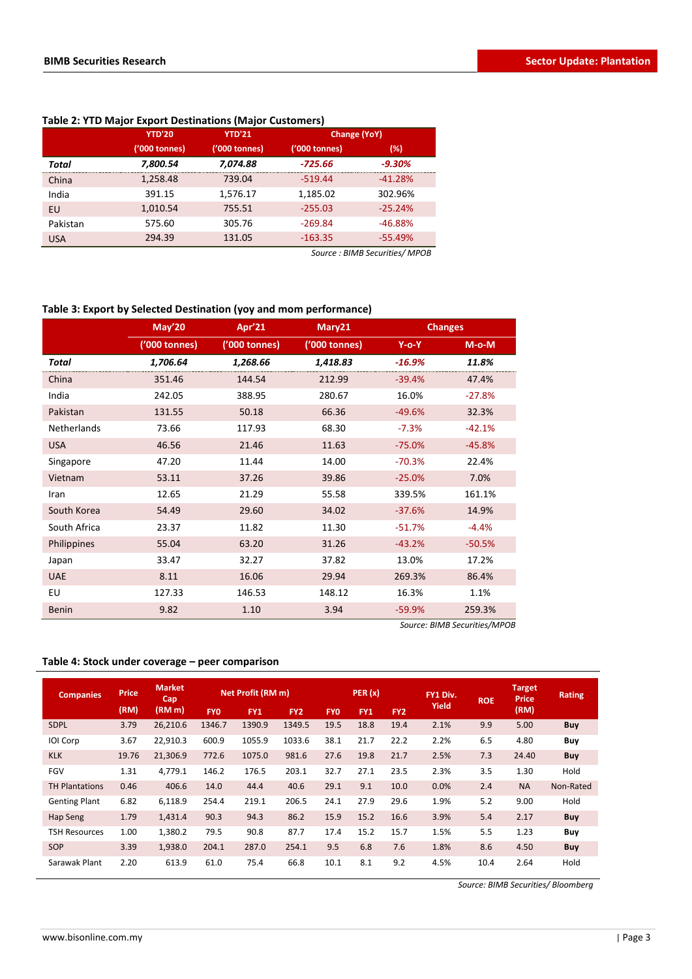|            | <b>YTD'20</b> | <b>YTD'21</b> | <b>Change (YoY)</b> |           |  |
|------------|---------------|---------------|---------------------|-----------|--|
|            | ('000 tonnes) | ('000 tonnes) | ('000 tonnes)       | (%)       |  |
| Total      | 7,800.54      | 7,074.88      | -725.66             | $-9.30%$  |  |
| China      | 1,258.48      | 739.04        | $-519.44$           | $-41.28%$ |  |
| India      | 391.15        | 1,576.17      | 1,185.02            | 302.96%   |  |
| EU         | 1,010.54      | 755.51        | $-255.03$           | $-25.24%$ |  |
| Pakistan   | 575.60        | 305.76        | $-269.84$           | $-46.88%$ |  |
| <b>USA</b> | 294.39        | 131.05        | $-163.35$           | $-55.49%$ |  |

# **Table 2: YTD Major Export Destinations (Major Customers)**

*Source : BIMB Securities/ MPOB*

# **Table 3: Export by Selected Destination (yoy and mom performance)**

|                    | <b>May'20</b> | Apr'21        | Mary21        | <b>Changes</b> |          |  |
|--------------------|---------------|---------------|---------------|----------------|----------|--|
|                    | ('000 tonnes) | ('000 tonnes) | ('000 tonnes) | $Y$ -o-Y       | $M-o-M$  |  |
| Total              | 1,706.64      | 1,268.66      | 1,418.83      | $-16.9%$       | 11.8%    |  |
| China              | 351.46        | 144.54        | 212.99        | $-39.4%$       | 47.4%    |  |
| India              | 242.05        | 388.95        | 280.67        | 16.0%          | $-27.8%$ |  |
| Pakistan           | 131.55        | 50.18         | 66.36         | $-49.6%$       | 32.3%    |  |
| <b>Netherlands</b> | 73.66         | 117.93        | 68.30         | $-7.3%$        | $-42.1%$ |  |
| <b>USA</b>         | 46.56         | 21.46         | 11.63         | $-75.0%$       | $-45.8%$ |  |
| Singapore          | 47.20         | 11.44         | 14.00         | $-70.3%$       | 22.4%    |  |
| Vietnam            | 53.11         | 37.26         | 39.86         | $-25.0%$       | 7.0%     |  |
| Iran               | 12.65         | 21.29         | 55.58         | 339.5%         | 161.1%   |  |
| South Korea        | 54.49         | 29.60         | 34.02         | $-37.6%$       | 14.9%    |  |
| South Africa       | 23.37         | 11.82         | 11.30         | $-51.7%$       | $-4.4%$  |  |
| Philippines        | 55.04         | 63.20         | 31.26         | $-43.2%$       | $-50.5%$ |  |
| Japan              | 33.47         | 32.27         | 37.82         | 13.0%          | 17.2%    |  |
| <b>UAE</b>         | 8.11          | 16.06         | 29.94         | 269.3%         | 86.4%    |  |
| EU                 | 127.33        | 146.53        | 148.12        | 16.3%          | 1.1%     |  |
| <b>Benin</b>       | 9.82          | 1.10          | 3.94          | $-59.9%$       | 259.3%   |  |

*Source: BIMB Securities/MPOB*

# **Table 4: Stock under coverage – peer comparison**

| <b>Companies</b>      | <b>Price</b> | <b>Market</b><br>Cap |            | Net Profit (RM m) |                 |            | PER(x) |                 | FY1 Div. | <b>ROE</b> | <b>Target</b><br><b>Price</b> | <b>Rating</b> |
|-----------------------|--------------|----------------------|------------|-------------------|-----------------|------------|--------|-----------------|----------|------------|-------------------------------|---------------|
|                       | (RM)         | (RM <sub>m</sub> )   | <b>FYO</b> | FY1               | FY <sub>2</sub> | <b>FYO</b> | FY1    | FY <sub>2</sub> | Yield    |            | (RM)                          |               |
| <b>SDPL</b>           | 3.79         | 26,210.6             | 1346.7     | 1390.9            | 1349.5          | 19.5       | 18.8   | 19.4            | 2.1%     | 9.9        | 5.00                          | <b>Buy</b>    |
| IOI Corp              | 3.67         | 22,910.3             | 600.9      | 1055.9            | 1033.6          | 38.1       | 21.7   | 22.2            | 2.2%     | 6.5        | 4.80                          | Buy           |
| <b>KLK</b>            | 19.76        | 21.306.9             | 772.6      | 1075.0            | 981.6           | 27.6       | 19.8   | 21.7            | 2.5%     | 7.3        | 24.40                         | Buy           |
| <b>FGV</b>            | 1.31         | 4,779.1              | 146.2      | 176.5             | 203.1           | 32.7       | 27.1   | 23.5            | 2.3%     | 3.5        | 1.30                          | Hold          |
| <b>TH Plantations</b> | 0.46         | 406.6                | 14.0       | 44.4              | 40.6            | 29.1       | 9.1    | 10.0            | 0.0%     | 2.4        | <b>NA</b>                     | Non-Rated     |
| <b>Genting Plant</b>  | 6.82         | 6,118.9              | 254.4      | 219.1             | 206.5           | 24.1       | 27.9   | 29.6            | 1.9%     | 5.2        | 9.00                          | Hold          |
| Hap Seng              | 1.79         | 1,431.4              | 90.3       | 94.3              | 86.2            | 15.9       | 15.2   | 16.6            | 3.9%     | 5.4        | 2.17                          | <b>Buy</b>    |
| <b>TSH Resources</b>  | 1.00         | 1,380.2              | 79.5       | 90.8              | 87.7            | 17.4       | 15.2   | 15.7            | 1.5%     | 5.5        | 1.23                          | Buy           |
| SOP                   | 3.39         | 1,938.0              | 204.1      | 287.0             | 254.1           | 9.5        | 6.8    | 7.6             | 1.8%     | 8.6        | 4.50                          | Buy           |
| Sarawak Plant         | 2.20         | 613.9                | 61.0       | 75.4              | 66.8            | 10.1       | 8.1    | 9.2             | 4.5%     | 10.4       | 2.64                          | Hold          |

*Source: BIMB Securities/ Bloomberg*